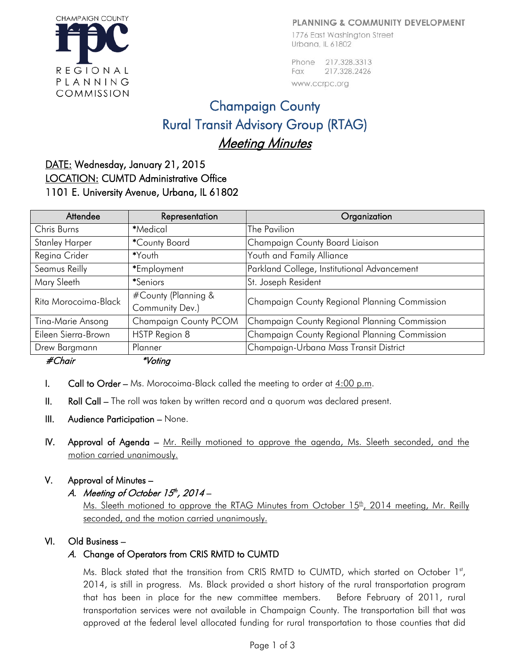#### PLANNING & COMMUNITY DEVELOPMENT

1776 East Washington Street Urbana, IL 61802

Phone 217,328,3313 217.328.2426 Fax www.ccrpc.org

# Champaign County Rural Transit Advisory Group (RTAG) Meeting Minutes

# DATE: Wednesday, January 21, 2015 LOCATION: CUMTD Administrative Office 1101 E. University Avenue, Urbana, IL 61802

| Attendee              | Representation                         | Organization                                  |
|-----------------------|----------------------------------------|-----------------------------------------------|
| Chris Burns           | *Medical                               | The Pavilion                                  |
| <b>Stanley Harper</b> | *County Board                          | Champaign County Board Liaison                |
| Regina Crider         | *Youth                                 | Youth and Family Alliance                     |
| Seamus Reilly         | *Employment                            | Parkland College, Institutional Advancement   |
| Mary Sleeth           | *Seniors                               | St. Joseph Resident                           |
| Rita Morocoima-Black  | #County (Planning &<br>Community Dev.) | Champaign County Regional Planning Commission |
| Tina-Marie Ansong     | Champaign County PCOM                  | Champaign County Regional Planning Commission |
| Eileen Sierra-Brown   | HSTP Region 8                          | Champaign County Regional Planning Commission |
| Drew Bargmann         | Planner                                | Champaign-Urbana Mass Transit District        |
| $\mu$ $\sim$ $\mu$    | $*11$                                  |                                               |

#Chair \*Voting

- I. Call to Order Ms. Morocoima-Black called the meeting to order at  $4:00$  p.m.
- II. Roll Call The roll was taken by written record and a quorum was declared present.
- III. Audience Participation None.
- IV. Approval of Agenda Mr. Reilly motioned to approve the agenda, Ms. Sleeth seconded, and the motion carried unanimously.

### V. Approval of Minutes –

A. Meeting of October  $15<sup>th</sup>$ , 2014 –

Ms. Sleeth motioned to approve the RTAG Minutes from October 15<sup>th</sup>, 2014 meeting, Mr. Reilly seconded, and the motion carried unanimously.

### VI. Old Business –

## A. Change of Operators from CRIS RMTD to CUMTD

Ms. Black stated that the transition from CRIS RMTD to CUMTD, which started on October 1st, 2014, is still in progress. Ms. Black provided a short history of the rural transportation program that has been in place for the new committee members. Before February of 2011, rural transportation services were not available in Champaign County. The transportation bill that was approved at the federal level allocated funding for rural transportation to those counties that did

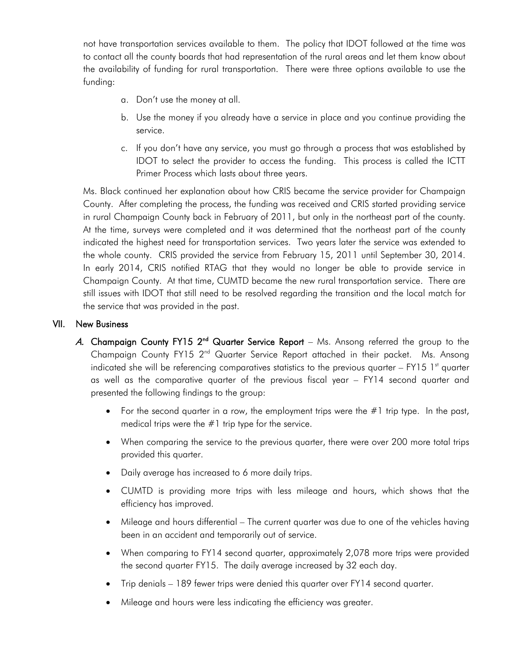not have transportation services available to them. The policy that IDOT followed at the time was to contact all the county boards that had representation of the rural areas and let them know about the availability of funding for rural transportation. There were three options available to use the funding:

- a. Don't use the money at all.
- b. Use the money if you already have a service in place and you continue providing the service.
- c. If you don't have any service, you must go through a process that was established by IDOT to select the provider to access the funding. This process is called the ICTT Primer Process which lasts about three years.

Ms. Black continued her explanation about how CRIS became the service provider for Champaign County. After completing the process, the funding was received and CRIS started providing service in rural Champaign County back in February of 2011, but only in the northeast part of the county. At the time, surveys were completed and it was determined that the northeast part of the county indicated the highest need for transportation services. Two years later the service was extended to the whole county. CRIS provided the service from February 15, 2011 until September 30, 2014. In early 2014, CRIS notified RTAG that they would no longer be able to provide service in Champaign County. At that time, CUMTD became the new rural transportation service. There are still issues with IDOT that still need to be resolved regarding the transition and the local match for the service that was provided in the past.

#### VII. New Business

- A. Champaign County FY15  $2^{nd}$  Quarter Service Report Ms. Ansong referred the group to the Champaign County FY15 2<sup>nd</sup> Quarter Service Report attached in their packet. Ms. Ansong indicated she will be referencing comparatives statistics to the previous quarter  $-$  FY15 1<sup>st</sup> quarter as well as the comparative quarter of the previous fiscal year – FY14 second quarter and presented the following findings to the group:
	- For the second quarter in a row, the employment trips were the  $\#1$  trip type. In the past, medical trips were the  $#1$  trip type for the service.
	- When comparing the service to the previous quarter, there were over 200 more total trips provided this quarter.
	- Daily average has increased to 6 more daily trips.
	- CUMTD is providing more trips with less mileage and hours, which shows that the efficiency has improved.
	- Mileage and hours differential The current quarter was due to one of the vehicles having been in an accident and temporarily out of service.
	- When comparing to FY14 second quarter, approximately 2,078 more trips were provided the second quarter FY15. The daily average increased by 32 each day.
	- Trip denials 189 fewer trips were denied this quarter over FY14 second quarter.
	- Mileage and hours were less indicating the efficiency was greater.